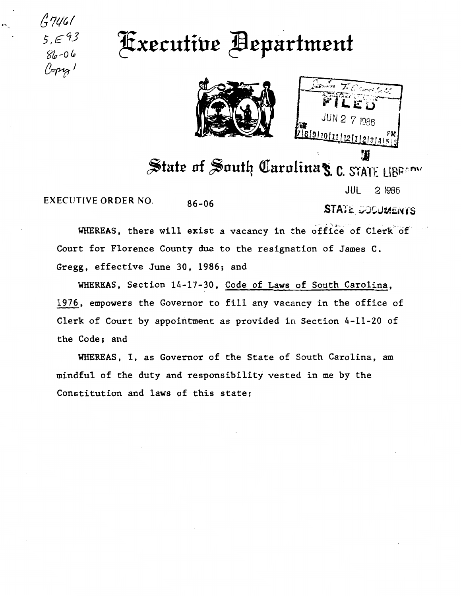$47461$  $5, \in 93$  $86 - 06$  $\ell$ spig!

## Fxecutive Bepartment



 $1986$ 1819110111 21112131415 仏

State of South Carolina's C. STATE LIBREDW

**EXECUTIVE ORDER NO.**  $86 - 06$  JUL 2 1986

**STATE COODMENTS** 

WHEREAS, there will exist a vacancy in the office of Clerk of Court for Florence County due to the resignation of James C. Gregg, effective June 30, 1986; and

WHEREAS, Section 14-17-30, Code of Laws of South Carolina, 1976, empowers the Governor to fill any vacancy in the office of Clerk of Court by appointment as provided in Section 4-11-20 of the Code; and

WHEREAS, I, as Governor of the State of South Carolina, am mindful of the duty and responsibility vested in me by the Constitution and laws of this state;